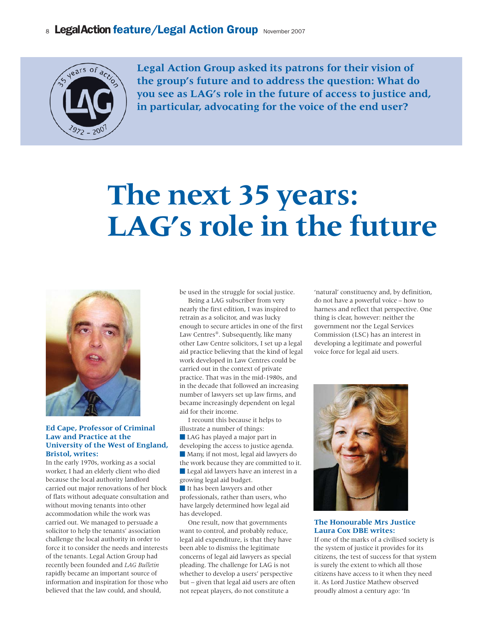## 8 LegalAction feature/Legal Action Group November 2007



**Legal Action Group asked its patrons for their vision of the group's future and to address the question: What do you see as LAG's role in the future of access to justice and, in particular, advocating for the voice of the end user?**

# **The next 35 years: LAG's role in the future**



#### **Ed Cape, Professor of Criminal Law and Practice at the University of the West of England, Bristol, writes:**

In the early 1970s, working as a social worker, I had an elderly client who died because the local authority landlord carried out major renovations of her block of flats without adequate consultation and without moving tenants into other accommodation while the work was carried out. We managed to persuade a solicitor to help the tenants' association challenge the local authority in order to force it to consider the needs and interests of the tenants. Legal Action Group had recently been founded and *LAG Bulletin* rapidly became an important source of information and inspiration for those who believed that the law could, and should,

be used in the struggle for social justice.

Being a LAG subscriber from very nearly the first edition, I was inspired to retrain as a solicitor, and was lucky enough to secure articles in one of the first Law Centres®. Subsequently, like many other Law Centre solicitors, I set up a legal aid practice believing that the kind of legal work developed in Law Centres could be carried out in the context of private practice. That was in the mid-1980s, and in the decade that followed an increasing number of lawyers set up law firms, and became increasingly dependent on legal aid for their income.

I recount this because it helps to illustrate a number of things: LAG has played a major part in developing the access to justice agenda. Many, if not most, legal aid lawyers do the work because they are committed to it. Legal aid lawyers have an interest in a growing legal aid budget. It has been lawyers and other professionals, rather than users, who have largely determined how legal aid has developed.

One result, now that governments want to control, and probably reduce, legal aid expenditure, is that they have been able to dismiss the legitimate concerns of legal aid lawyers as special pleading. The challenge for LAG is not whether to develop a users' perspective but – given that legal aid users are often not repeat players, do not constitute a

'natural' constituency and, by definition, do not have a powerful voice – how to harness and reflect that perspective. One thing is clear, however: neither the government nor the Legal Services Commission (LSC) has an interest in developing a legitimate and powerful voice force for legal aid users.



#### **The Honourable Mrs Justice Laura Cox DBE writes:**

If one of the marks of a civilised society is the system of justice it provides for its citizens, the test of success for that system is surely the extent to which all those citizens have access to it when they need it. As Lord Justice Mathew observed proudly almost a century ago: 'In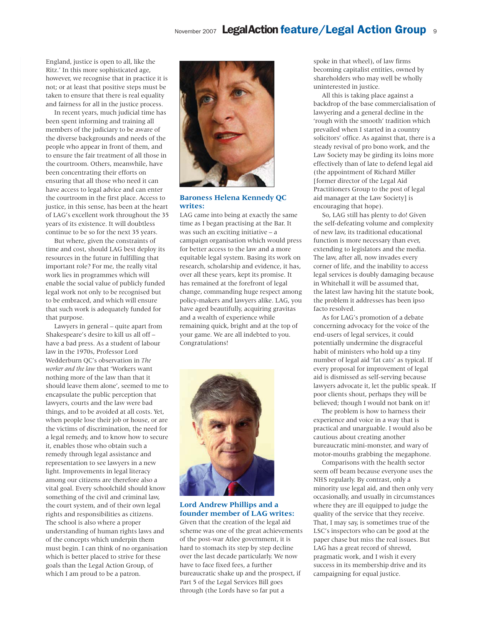## November 2007 Legal Action feature/Legal Action Group 9

England, justice is open to all, like the Ritz.' In this more sophisticated age, however, we recognise that in practice it is not; or at least that positive steps must be taken to ensure that there is real equality and fairness for all in the justice process.

In recent years, much judicial time has been spent informing and training all members of the judiciary to be aware of the diverse backgrounds and needs of the people who appear in front of them, and to ensure the fair treatment of all those in the courtroom. Others, meanwhile, have been concentrating their efforts on ensuring that all those who need it can have access to legal advice and can enter the courtroom in the first place. Access to justice, in this sense, has been at the heart of LAG's excellent work throughout the 35 years of its existence. It will doubtless continue to be so for the next 35 years.

But where, given the constraints of time and cost, should LAG best deploy its resources in the future in fulfilling that important role? For me, the really vital work lies in programmes which will enable the social value of publicly funded legal work not only to be recognised but to be embraced, and which will ensure that such work is adequately funded for that purpose.

Lawyers in general – quite apart from Shakespeare's desire to kill us all off – have a bad press. As a student of labour law in the 1970s, Professor Lord Wedderburn QC's observation in *The worker and the law* that 'Workers want nothing more of the law than that it should leave them alone', seemed to me to encapsulate the public perception that lawyers, courts and the law were bad things, and to be avoided at all costs. Yet, when people lose their job or house, or are the victims of discrimination, the need for a legal remedy, and to know how to secure it, enables those who obtain such a remedy through legal assistance and representation to see lawyers in a new light. Improvements in legal literacy among our citizens are therefore also a vital goal. Every schoolchild should know something of the civil and criminal law, the court system, and of their own legal rights and responsibilities as citizens. The school is also where a proper understanding of human rights laws and of the concepts which underpin them must begin. I can think of no organisation which is better placed to strive for these goals than the Legal Action Group, of which I am proud to be a patron.



**Baroness Helena Kennedy QC writes:**

LAG came into being at exactly the same time as I began practising at the Bar. It was such an exciting initiative – a campaign organisation which would press for better access to the law and a more equitable legal system. Basing its work on research, scholarship and evidence, it has, over all these years, kept its promise. It has remained at the forefront of legal change, commanding huge respect among policy-makers and lawyers alike. LAG, you have aged beautifully, acquiring gravitas and a wealth of experience while remaining quick, bright and at the top of your game. We are all indebted to you. Congratulations!



#### **Lord Andrew Phillips and a founder member of LAG writes:**

Given that the creation of the legal aid scheme was one of the great achievements of the post-war Atlee government, it is hard to stomach its step by step decline over the last decade particularly. We now have to face fixed fees, a further bureaucratic shake up and the prospect, if Part 5 of the Legal Services Bill goes through (the Lords have so far put a

spoke in that wheel), of law firms becoming capitalist entities, owned by shareholders who may well be wholly uninterested in justice.

All this is taking place against a backdrop of the base commercialisation of lawyering and a general decline in the 'rough with the smooth' tradition which prevailed when I started in a country solicitors' office. As against that, there is a steady revival of pro bono work, and the Law Society may be girding its loins more effectively than of late to defend legal aid (the appointment of Richard Miller [former director of the Legal Aid Practitioners Group to the post of legal aid manager at the Law Society] is encouraging that hope).

So, LAG still has plenty to do! Given the self-defeating volume and complexity of new law, its traditional educational function is more necessary than ever, extending to legislators and the media. The law, after all, now invades every corner of life, and the inability to access legal services is doubly damaging because in Whitehall it will be assumed that, the latest law having hit the statute book, the problem it addresses has been ipso facto resolved.

As for LAG's promotion of a debate concerning advocacy for the voice of the end-users of legal services, it could potentially undermine the disgraceful habit of ministers who hold up a tiny number of legal aid 'fat cats' as typical. If every proposal for improvement of legal aid is dismissed as self-serving because lawyers advocate it, let the public speak. If poor clients shout, perhaps they will be believed; though I would not bank on it!

The problem is how to harness their experience and voice in a way that is practical and unarguable. I would also be cautious about creating another bureaucratic mini-monster, and wary of motor-mouths grabbing the megaphone.

Comparisons with the health sector seem off beam because everyone uses the NHS regularly. By contrast, only a minority use legal aid, and then only very occasionally, and usually in circumstances where they are ill equipped to judge the quality of the service that they receive. That, I may say, is sometimes true of the LSC's inspectors who can be good at the paper chase but miss the real issues. But LAG has a great record of shrewd, pragmatic work, and I wish it every success in its membership drive and its campaigning for equal justice.